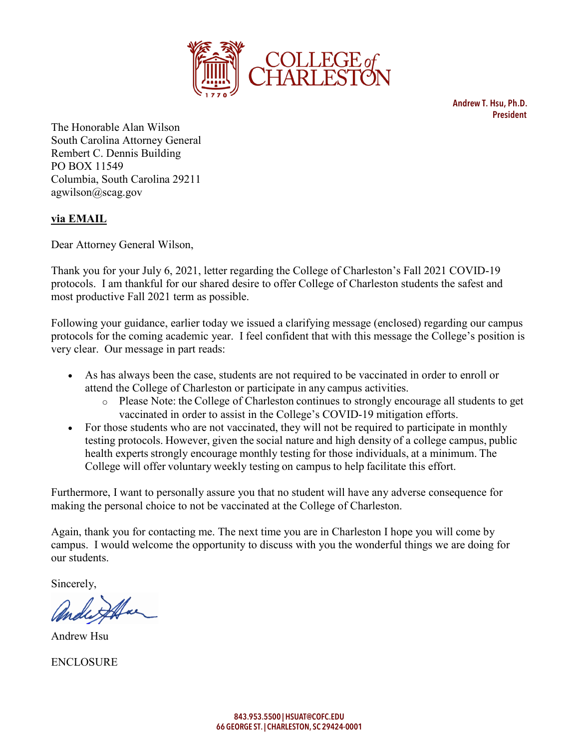

Andrew T. Hsu, Ph.D. President

The Honorable Alan Wilson South Carolina Attorney General Rembert C. Dennis Building PO BOX 11549 Columbia, South Carolina 29211 agwilson@scag.gov

## **via EMAIL**

Dear Attorney General Wilson,

Thank you for your July 6, 2021, letter regarding the College of Charleston's Fall 2021 COVID-19 protocols. I am thankful for our shared desire to offer College of Charleston students the safest and most productive Fall 2021 term as possible.

Following your guidance, earlier today we issued a clarifying message (enclosed) regarding our campus protocols for the coming academic year. I feel confident that with this message the College's position is very clear. Our message in part reads:

- As has always been the case, students are not required to be vaccinated in order to enroll or attend the College of Charleston or participate in any campus activities.
	- o Please Note: the College of Charleston continues to strongly encourage all students to get vaccinated in order to assist in the College's COVID-19 mitigation efforts.
- For those students who are not vaccinated, they will not be required to participate in monthly testing protocols. However, given the social nature and high density of a college campus, public health experts strongly encourage monthly testing for those individuals, at a minimum. The College will offer voluntary weekly testing on campus to help facilitate this effort.

Furthermore, I want to personally assure you that no student will have any adverse consequence for making the personal choice to not be vaccinated at the College of Charleston.

Again, thank you for contacting me. The next time you are in Charleston I hope you will come by campus. I would welcome the opportunity to discuss with you the wonderful things we are doing for our students.

Sincerely,

Andrew Hsu

**ENCLOSURE**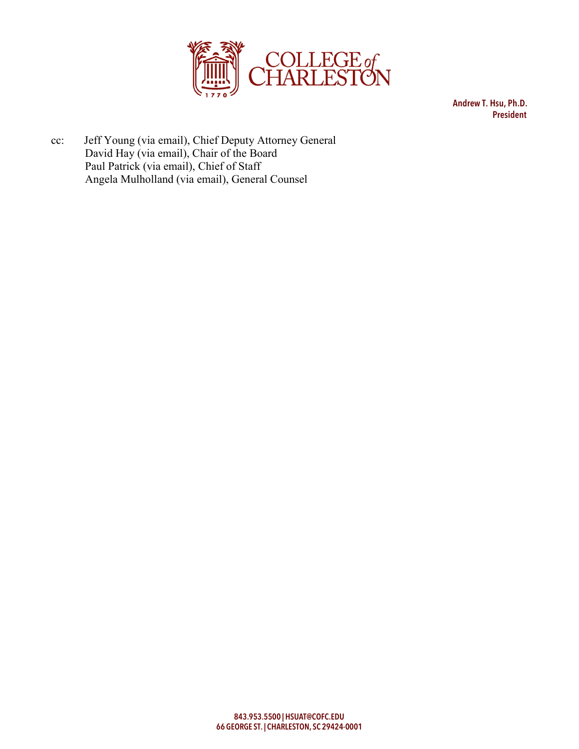

Andrew T. Hsu, Ph.D. President

cc: Jeff Young (via email), Chief Deputy Attorney General David Hay (via email), Chair of the Board Paul Patrick (via email), Chief of Staff Angela Mulholland (via email), General Counsel